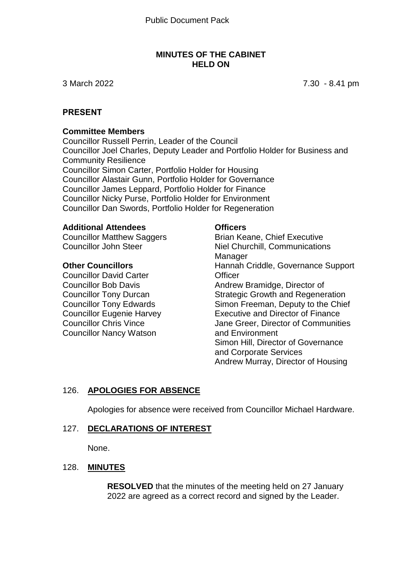### **MINUTES OF THE CABINET HELD ON**

3 March 2022 7.30 - 8.41 pm

#### **PRESENT**

#### **Committee Members**

Councillor Russell Perrin, Leader of the Council Councillor Joel Charles, Deputy Leader and Portfolio Holder for Business and Community Resilience Councillor Simon Carter, Portfolio Holder for Housing Councillor Alastair Gunn, Portfolio Holder for Governance Councillor James Leppard, Portfolio Holder for Finance Councillor Nicky Purse, Portfolio Holder for Environment Councillor Dan Swords, Portfolio Holder for Regeneration

#### **Additional Attendees**

Councillor Matthew Saggers Councillor John Steer

# **Other Councillors**

Councillor David Carter Councillor Bob Davis Councillor Tony Durcan Councillor Tony Edwards Councillor Eugenie Harvey Councillor Chris Vince Councillor Nancy Watson

#### **Officers**

Brian Keane, Chief Executive Niel Churchill, Communications **Manager** Hannah Criddle, Governance Support **Officer** Andrew Bramidge, Director of Strategic Growth and Regeneration Simon Freeman, Deputy to the Chief Executive and Director of Finance Jane Greer, Director of Communities and Environment Simon Hill, Director of Governance and Corporate Services Andrew Murray, Director of Housing

# 126. **APOLOGIES FOR ABSENCE**

Apologies for absence were received from Councillor Michael Hardware.

#### 127. **DECLARATIONS OF INTEREST**

None.

## 128. **MINUTES**

**RESOLVED** that the minutes of the meeting held on 27 January 2022 are agreed as a correct record and signed by the Leader.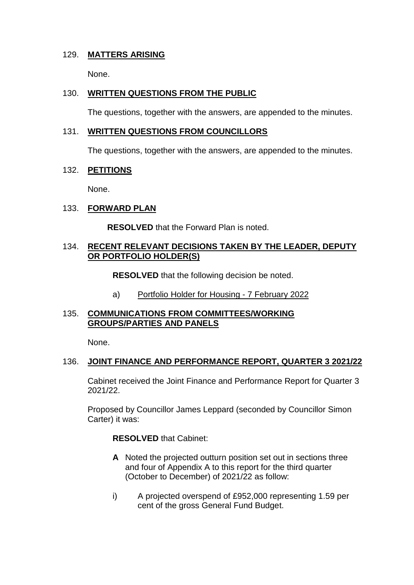# 129. **MATTERS ARISING**

None.

# 130. **WRITTEN QUESTIONS FROM THE PUBLIC**

The questions, together with the answers, are appended to the minutes.

### 131. **WRITTEN QUESTIONS FROM COUNCILLORS**

The questions, together with the answers, are appended to the minutes.

### 132. **PETITIONS**

None.

# 133. **FORWARD PLAN**

**RESOLVED** that the Forward Plan is noted.

# 134. **RECENT RELEVANT DECISIONS TAKEN BY THE LEADER, DEPUTY OR PORTFOLIO HOLDER(S)**

**RESOLVED** that the following decision be noted.

a) Portfolio Holder for Housing - 7 February 2022

# 135. **COMMUNICATIONS FROM COMMITTEES/WORKING GROUPS/PARTIES AND PANELS**

None.

# 136. **JOINT FINANCE AND PERFORMANCE REPORT, QUARTER 3 2021/22**

Cabinet received the Joint Finance and Performance Report for Quarter 3 2021/22.

Proposed by Councillor James Leppard (seconded by Councillor Simon Carter) it was:

# **RESOLVED** that Cabinet:

- **A** Noted the projected outturn position set out in sections three and four of Appendix A to this report for the third quarter (October to December) of 2021/22 as follow:
- i) A projected overspend of £952,000 representing 1.59 per cent of the gross General Fund Budget.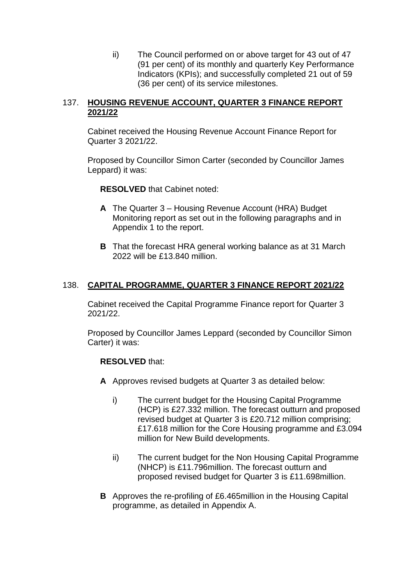ii) The Council performed on or above target for 43 out of 47 (91 per cent) of its monthly and quarterly Key Performance Indicators (KPIs); and successfully completed 21 out of 59 (36 per cent) of its service milestones.

# 137. **HOUSING REVENUE ACCOUNT, QUARTER 3 FINANCE REPORT 2021/22**

Cabinet received the Housing Revenue Account Finance Report for Quarter 3 2021/22.

Proposed by Councillor Simon Carter (seconded by Councillor James Leppard) it was:

**RESOLVED** that Cabinet noted:

- **A** The Quarter 3 Housing Revenue Account (HRA) Budget Monitoring report as set out in the following paragraphs and in Appendix 1 to the report.
- **B** That the forecast HRA general working balance as at 31 March 2022 will be £13.840 million.

# 138. **CAPITAL PROGRAMME, QUARTER 3 FINANCE REPORT 2021/22**

Cabinet received the Capital Programme Finance report for Quarter 3 2021/22.

Proposed by Councillor James Leppard (seconded by Councillor Simon Carter) it was:

# **RESOLVED** that:

- **A** Approves revised budgets at Quarter 3 as detailed below:
	- i) The current budget for the Housing Capital Programme (HCP) is £27.332 million. The forecast outturn and proposed revised budget at Quarter 3 is £20.712 million comprising; £17.618 million for the Core Housing programme and £3.094 million for New Build developments.
	- ii) The current budget for the Non Housing Capital Programme (NHCP) is £11.796million. The forecast outturn and proposed revised budget for Quarter 3 is £11.698million.
- **B** Approves the re-profiling of £6.465million in the Housing Capital programme, as detailed in Appendix A.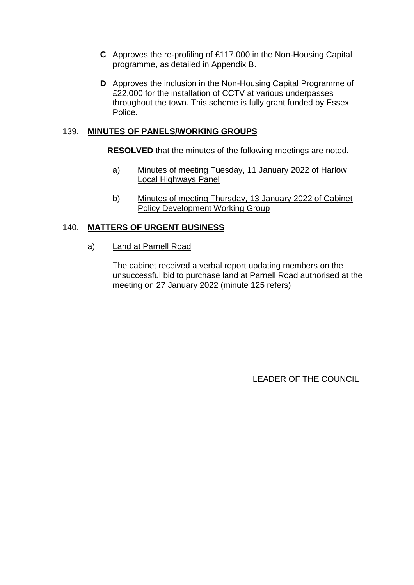- **C** Approves the re-profiling of £117,000 in the Non-Housing Capital programme, as detailed in Appendix B.
- **D** Approves the inclusion in the Non-Housing Capital Programme of £22,000 for the installation of CCTV at various underpasses throughout the town. This scheme is fully grant funded by Essex Police.

# 139. **MINUTES OF PANELS/WORKING GROUPS**

**RESOLVED** that the minutes of the following meetings are noted.

- a) Minutes of meeting Tuesday, 11 January 2022 of Harlow Local Highways Panel
- b) Minutes of meeting Thursday, 13 January 2022 of Cabinet Policy Development Working Group

# 140. **MATTERS OF URGENT BUSINESS**

a) Land at Parnell Road

The cabinet received a verbal report updating members on the unsuccessful bid to purchase land at Parnell Road authorised at the meeting on 27 January 2022 (minute 125 refers)

LEADER OF THE COUNCIL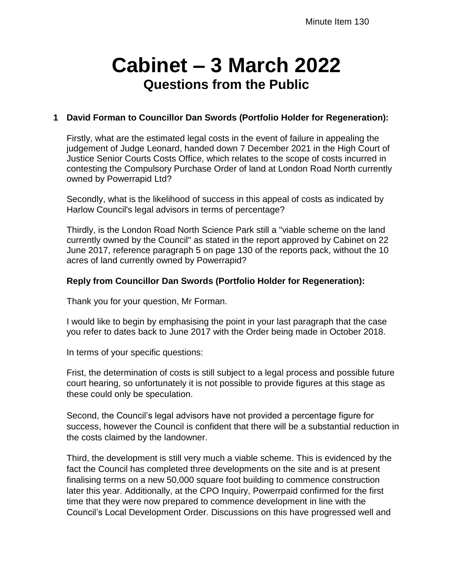# **Cabinet – 3 March 2022 Questions from the Public**

# **1 David Forman to Councillor Dan Swords (Portfolio Holder for Regeneration):**

Firstly, what are the estimated legal costs in the event of failure in appealing the judgement of Judge Leonard, handed down 7 December 2021 in the High Court of Justice Senior Courts Costs Office, which relates to the scope of costs incurred in contesting the Compulsory Purchase Order of land at London Road North currently owned by Powerrapid Ltd?

Secondly, what is the likelihood of success in this appeal of costs as indicated by Harlow Council's legal advisors in terms of percentage?

Thirdly, is the London Road North Science Park still a "viable scheme on the land currently owned by the Council" as stated in the report approved by Cabinet on 22 June 2017, reference paragraph 5 on page 130 of the reports pack, without the 10 acres of land currently owned by Powerrapid?

# **Reply from Councillor Dan Swords (Portfolio Holder for Regeneration):**

Thank you for your question, Mr Forman.

I would like to begin by emphasising the point in your last paragraph that the case you refer to dates back to June 2017 with the Order being made in October 2018.

In terms of your specific questions:

Frist, the determination of costs is still subject to a legal process and possible future court hearing, so unfortunately it is not possible to provide figures at this stage as these could only be speculation.

Second, the Council's legal advisors have not provided a percentage figure for success, however the Council is confident that there will be a substantial reduction in the costs claimed by the landowner.

Third, the development is still very much a viable scheme. This is evidenced by the fact the Council has completed three developments on the site and is at present finalising terms on a new 50,000 square foot building to commence construction later this year. Additionally, at the CPO Inquiry, Powerrpaid confirmed for the first time that they were now prepared to commence development in line with the Council's Local Development Order. Discussions on this have progressed well and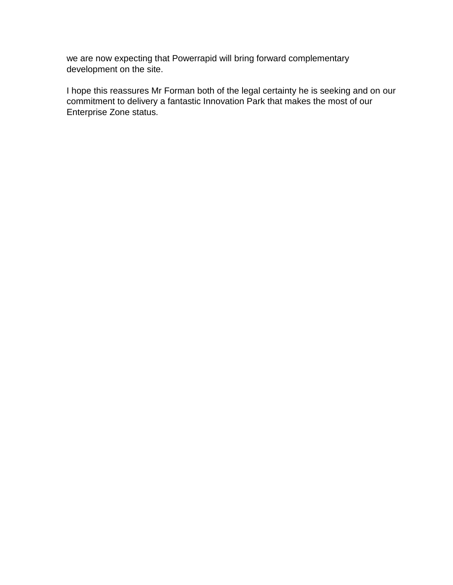we are now expecting that Powerrapid will bring forward complementary development on the site.

I hope this reassures Mr Forman both of the legal certainty he is seeking and on our commitment to delivery a fantastic Innovation Park that makes the most of our Enterprise Zone status.